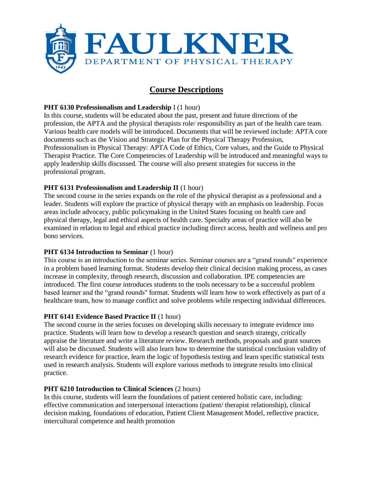

# **Course Descriptions**

# **PHT 6130 Professionalism and Leadership** I (1 hour)

In this course, students will be educated about the past, present and future directions of the profession, the APTA and the physical therapists role/ responsibility as part of the health care team. Various health care models will be introduced. Documents that will be reviewed include: APTA core documents such as the Vision and Strategic Plan for the Physical Therapy Profession, Professionalism in Physical Therapy: APTA Code of Ethics, Core values, and the Guide to Physical Therapist Practice. The Core Competencies of Leadership will be introduced and meaningful ways to apply leadership skills discussed. The course will also present strategies for success in the professional program.

# **PHT 6131 Professionalism and Leadership II** (1 hour)

The second course in the series expands on the role of the physical therapist as a professional and a leader. Students will explore the practice of physical therapy with an emphasis on leadership. Focus areas include advocacy, public policymaking in the United States focusing on health care and physical therapy, legal and ethical aspects of health care. Specialty areas of practice will also be examined in relation to legal and ethical practice including direct access, health and wellness and pro bono services.

#### **PHT 6134 Introduction to Seminar (1 hour)**

This course is an introduction to the seminar series. Seminar courses are a "grand rounds'' experience in a problem based learning format. Students develop their clinical decision making process, as cases increase in complexity, through research, discussion and collaboration. IPE competencies are introduced. The first course introduces students to the tools necessary to be a successful problem based learner and the "grand rounds'' format. Students will learn how to work effectively as part of a healthcare team, how to manage conflict and solve problems while respecting individual differences.

#### **PHT 6141 Evidence Based Practice II** (1 hour)

The second course in the series focuses on developing skills necessary to integrate evidence into practice. Students will learn how to develop a research question and search strategy, critically appraise the literature and write a literature review. Research methods, proposals and grant sources will also be discussed. Students will also learn how to determine the statistical conclusion validity of research evidence for practice, learn the logic of hypothesis testing and learn specific statistical tests used in research analysis. Students will explore various methods to integrate results into clinical practice.

#### **PHT 6210 Introduction to Clinical Sciences** (2 hours)

In this course, students will learn the foundations of patient centered holistic care, including: effective communication and interpersonal interactions (patient/ therapist relationship), clinical decision making, foundations of education, Patient Client Management Model, reflective practice, intercultural competence and health promotion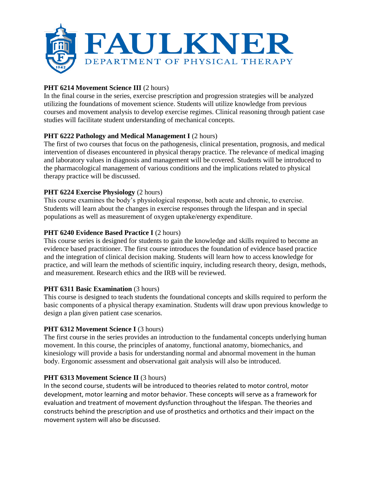

# **PHT 6214 Movement Science III** (2 hours)

In the final course in the series, exercise prescription and progression strategies will be analyzed utilizing the foundations of movement science. Students will utilize knowledge from previous courses and movement analysis to develop exercise regimes. Clinical reasoning through patient case studies will facilitate student understanding of mechanical concepts.

# **PHT 6222 Pathology and Medical Management I (2 hours)**

The first of two courses that focus on the pathogenesis, clinical presentation, prognosis, and medical intervention of diseases encountered in physical therapy practice. The relevance of medical imaging and laboratory values in diagnosis and management will be covered. Students will be introduced to the pharmacological management of various conditions and the implications related to physical therapy practice will be discussed.

# **PHT 6224 Exercise Physiology** (2 hours)

This course examines the body's physiological response, both acute and chronic, to exercise. Students will learn about the changes in exercise responses through the lifespan and in special populations as well as measurement of oxygen uptake/energy expenditure.

# **PHT 6240 Evidence Based Practice I (2 hours)**

This course series is designed for students to gain the knowledge and skills required to become an evidence based practitioner. The first course introduces the foundation of evidence based practice and the integration of clinical decision making. Students will learn how to access knowledge for practice, and will learn the methods of scientific inquiry, including research theory, design, methods, and measurement. Research ethics and the IRB will be reviewed.

# **PHT 6311 Basic Examination** (3 hours)

This course is designed to teach students the foundational concepts and skills required to perform the basic components of a physical therapy examination. Students will draw upon previous knowledge to design a plan given patient case scenarios.

#### **PHT 6312 Movement Science I (3 hours)**

The first course in the series provides an introduction to the fundamental concepts underlying human movement. In this course, the principles of anatomy, functional anatomy, biomechanics, and kinesiology will provide a basis for understanding normal and abnormal movement in the human body. Ergonomic assessment and observational gait analysis will also be introduced.

#### **PHT 6313 Movement Science II** (3 hours)

In the second course, students will be introduced to theories related to motor control, motor development, motor learning and motor behavior. These concepts will serve as a framework for evaluation and treatment of movement dysfunction throughout the lifespan. The theories and constructs behind the prescription and use of prosthetics and orthotics and their impact on the movement system will also be discussed.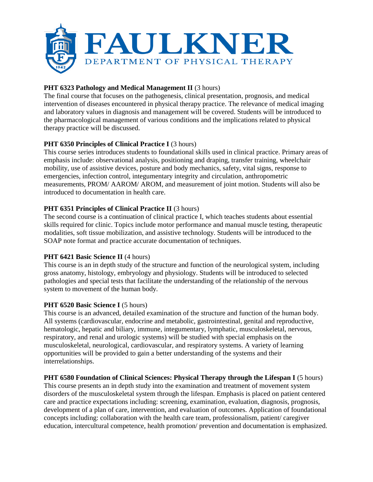

# **PHT 6323 Pathology and Medical Management II (3 hours)**

The final course that focuses on the pathogenesis, clinical presentation, prognosis, and medical intervention of diseases encountered in physical therapy practice. The relevance of medical imaging and laboratory values in diagnosis and management will be covered. Students will be introduced to the pharmacological management of various conditions and the implications related to physical therapy practice will be discussed.

# **PHT 6350 Principles of Clinical Practice I** (3 hours)

This course series introduces students to foundational skills used in clinical practice. Primary areas of emphasis include: observational analysis, positioning and draping, transfer training, wheelchair mobility, use of assistive devices, posture and body mechanics, safety, vital signs, response to emergencies, infection control, integumentary integrity and circulation, anthropometric measurements, PROM/ AAROM/ AROM, and measurement of joint motion. Students will also be introduced to documentation in health care.

# **PHT 6351 Principles of Clinical Practice II** (3 hours)

The second course is a continuation of clinical practice I, which teaches students about essential skills required for clinic. Topics include motor performance and manual muscle testing, therapeutic modalities, soft tissue mobilization, and assistive technology. Students will be introduced to the SOAP note format and practice accurate documentation of techniques.

#### **PHT 6421 Basic Science II** (4 hours)

This course is an in depth study of the structure and function of the neurological system, including gross anatomy, histology, embryology and physiology. Students will be introduced to selected pathologies and special tests that facilitate the understanding of the relationship of the nervous system to movement of the human body.

#### **PHT 6520 Basic Science I** (5 hours)

This course is an advanced, detailed examination of the structure and function of the human body. All systems (cardiovascular, endocrine and metabolic, gastrointestinal, genital and reproductive, hematologic, hepatic and biliary, immune, integumentary, lymphatic, musculoskeletal, nervous, respiratory, and renal and urologic systems) will be studied with special emphasis on the musculoskeletal, neurological, cardiovascular, and respiratory systems. A variety of learning opportunities will be provided to gain a better understanding of the systems and their interrelationships.

#### **PHT 6580 Foundation of Clinical Sciences: Physical Therapy through the Lifespan I** (5 hours)

This course presents an in depth study into the examination and treatment of movement system disorders of the musculoskeletal system through the lifespan. Emphasis is placed on patient centered care and practice expectations including: screening, examination, evaluation, diagnosis, prognosis, development of a plan of care, intervention, and evaluation of outcomes. Application of foundational concepts including: collaboration with the health care team, professionalism, patient/ caregiver education, intercultural competence, health promotion/ prevention and documentation is emphasized.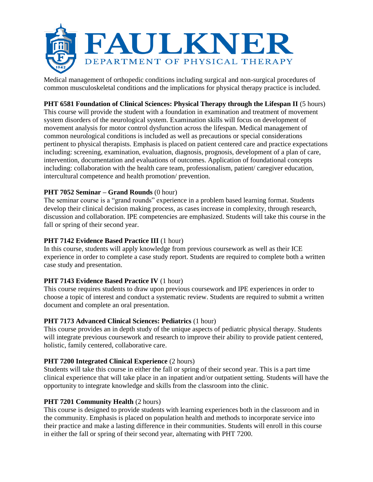

Medical management of orthopedic conditions including surgical and non-surgical procedures of common musculoskeletal conditions and the implications for physical therapy practice is included.

# **PHT 6581 Foundation of Clinical Sciences: Physical Therapy through the Lifespan II** (5 hours)

This course will provide the student with a foundation in examination and treatment of movement system disorders of the neurological system. Examination skills will focus on development of movement analysis for motor control dysfunction across the lifespan. Medical management of common neurological conditions is included as well as precautions or special considerations pertinent to physical therapists. Emphasis is placed on patient centered care and practice expectations including: screening, examination, evaluation, diagnosis, prognosis, development of a plan of care, intervention, documentation and evaluations of outcomes. Application of foundational concepts including: collaboration with the health care team, professionalism, patient/ caregiver education, intercultural competence and health promotion/ prevention.

# **PHT 7052 Seminar – Grand Rounds** (0 hour)

The seminar course is a "grand rounds" experience in a problem based learning format. Students develop their clinical decision making process, as cases increase in complexity, through research, discussion and collaboration. IPE competencies are emphasized. Students will take this course in the fall or spring of their second year.

# **PHT 7142 Evidence Based Practice III** (1 hour)

In this course, students will apply knowledge from previous coursework as well as their ICE experience in order to complete a case study report. Students are required to complete both a written case study and presentation.

#### **PHT 7143 Evidence Based Practice IV** (1 hour)

This course requires students to draw upon previous coursework and IPE experiences in order to choose a topic of interest and conduct a systematic review. Students are required to submit a written document and complete an oral presentation.

#### **PHT 7173 Advanced Clinical Sciences: Pediatrics** (1 hour)

This course provides an in depth study of the unique aspects of pediatric physical therapy. Students will integrate previous coursework and research to improve their ability to provide patient centered, holistic, family centered, collaborative care.

#### **PHT 7200 Integrated Clinical Experience** (2 hours)

Students will take this course in either the fall or spring of their second year. This is a part time clinical experience that will take place in an inpatient and/or outpatient setting. Students will have the opportunity to integrate knowledge and skills from the classroom into the clinic.

#### **PHT 7201 Community Health (2 hours)**

This course is designed to provide students with learning experiences both in the classroom and in the community. Emphasis is placed on population health and methods to incorporate service into their practice and make a lasting difference in their communities. Students will enroll in this course in either the fall or spring of their second year, alternating with PHT 7200.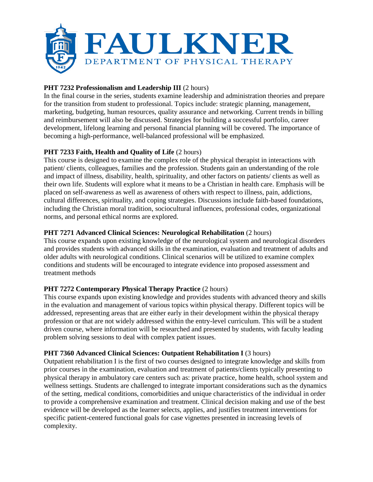

# **PHT 7232 Professionalism and Leadership III (2 hours)**

In the final course in the series, students examine leadership and administration theories and prepare for the transition from student to professional. Topics include: strategic planning, management, marketing, budgeting, human resources, quality assurance and networking. Current trends in billing and reimbursement will also be discussed. Strategies for building a successful portfolio, career development, lifelong learning and personal financial planning will be covered. The importance of becoming a high-performance, well-balanced professional will be emphasized.

# **PHT 7233 Faith, Health and Quality of Life** (2 hours)

This course is designed to examine the complex role of the physical therapist in interactions with patient/ clients, colleagues, families and the profession. Students gain an understanding of the role and impact of illness, disability, health, spirituality, and other factors on patients/ clients as well as their own life. Students will explore what it means to be a Christian in health care. Emphasis will be placed on self-awareness as well as awareness of others with respect to illness, pain, addictions, cultural differences, spirituality, and coping strategies. Discussions include faith-based foundations, including the Christian moral tradition, sociocultural influences, professional codes, organizational norms, and personal ethical norms are explored.

# **PHT 7271 Advanced Clinical Sciences: Neurological Rehabilitation** (2 hours)

This course expands upon existing knowledge of the neurological system and neurological disorders and provides students with advanced skills in the examination, evaluation and treatment of adults and older adults with neurological conditions. Clinical scenarios will be utilized to examine complex conditions and students will be encouraged to integrate evidence into proposed assessment and treatment methods

# **PHT 7272 Contemporary Physical Therapy Practice** (2 hours)

This course expands upon existing knowledge and provides students with advanced theory and skills in the evaluation and management of various topics within physical therapy. Different topics will be addressed, representing areas that are either early in their development within the physical therapy profession or that are not widely addressed within the entry-level curriculum. This will be a student driven course, where information will be researched and presented by students, with faculty leading problem solving sessions to deal with complex patient issues.

#### **PHT 7360 Advanced Clinical Sciences: Outpatient Rehabilitation I** (3 hours)

Outpatient rehabilitation I is the first of two courses designed to integrate knowledge and skills from prior courses in the examination, evaluation and treatment of patients/clients typically presenting to physical therapy in ambulatory care centers such as: private practice, home health, school system and wellness settings. Students are challenged to integrate important considerations such as the dynamics of the setting, medical conditions, comorbidities and unique characteristics of the individual in order to provide a comprehensive examination and treatment. Clinical decision making and use of the best evidence will be developed as the learner selects, applies, and justifies treatment interventions for specific patient-centered functional goals for case vignettes presented in increasing levels of complexity.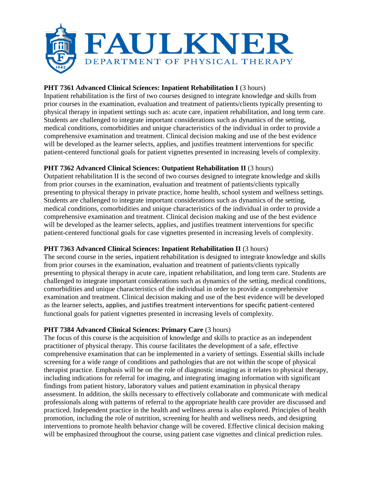

# **PHT 7361 Advanced Clinical Sciences: Inpatient Rehabilitation I (3 hours)**

Inpatient rehabilitation is the first of two courses designed to integrate knowledge and skills from prior courses in the examination, evaluation and treatment of patients/clients typically presenting to physical therapy in inpatient settings such as: acute care, inpatient rehabilitation, and long term care. Students are challenged to integrate important considerations such as dynamics of the setting, medical conditions, comorbidities and unique characteristics of the individual in order to provide a comprehensive examination and treatment. Clinical decision making and use of the best evidence will be developed as the learner selects, applies, and justifies treatment interventions for specific patient-centered functional goals for patient vignettes presented in increasing levels of complexity.

# **PHT 7362 Advanced Clinical Sciences: Outpatient Rehabilitation II** (3 hours)

Outpatient rehabilitation II is the second of two courses designed to integrate knowledge and skills from prior courses in the examination, evaluation and treatment of patients/clients typically presenting to physical therapy in private practice, home health, school system and wellness settings. Students are challenged to integrate important considerations such as dynamics of the setting, medical conditions, comorbidities and unique characteristics of the individual in order to provide a comprehensive examination and treatment. Clinical decision making and use of the best evidence will be developed as the learner selects, applies, and justifies treatment interventions for specific patient-centered functional goals for case vignettes presented in increasing levels of complexity.

# **PHT 7363 Advanced Clinical Sciences: Inpatient Rehabilitation II** (3 hours)

The second course in the series, inpatient rehabilitation is designed to integrate knowledge and skills from prior courses in the examination, evaluation and treatment of patients/clients typically presenting to physical therapy in acute care, inpatient rehabilitation, and long term care. Students are challenged to integrate important considerations such as dynamics of the setting, medical conditions, comorbidities and unique characteristics of the individual in order to provide a comprehensive examination and treatment. Clinical decision making and use of the best evidence will be developed as the learner selects, applies, and justifies treatment interventions for specific patient-centered functional goals for patient vignettes presented in increasing levels of complexity.

# **PHT 7384 Advanced Clinical Sciences: Primary Care** (3 hours)

The focus of this course is the acquisition of knowledge and skills to practice as an independent practitioner of physical therapy. This course facilitates the development of a safe, effective comprehensive examination that can be implemented in a variety of settings. Essential skills include screening for a wide range of conditions and pathologies that are not within the scope of physical therapist practice. Emphasis will be on the role of diagnostic imaging as it relates to physical therapy, including indications for referral for imaging, and integrating imaging information with significant findings from patient history, laboratory values and patient examination in physical therapy assessment. In addition, the skills necessary to effectively collaborate and communicate with medical professionals along with patterns of referral to the appropriate health care provider are discussed and practiced. Independent practice in the health and wellness arena is also explored. Principles of health promotion, including the role of nutrition, screening for health and wellness needs, and designing interventions to promote health behavior change will be covered. Effective clinical decision making will be emphasized throughout the course, using patient case vignettes and clinical prediction rules.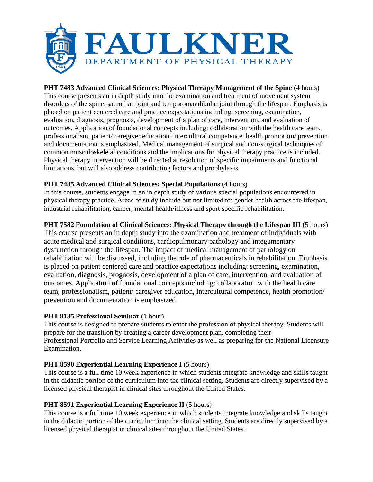

# **PHT 7483 Advanced Clinical Sciences: Physical Therapy Management of the Spine** (4 hours)

This course presents an in depth study into the examination and treatment of movement system disorders of the spine, sacroiliac joint and temporomandibular joint through the lifespan. Emphasis is placed on patient centered care and practice expectations including: screening, examination, evaluation, diagnosis, prognosis, development of a plan of care, intervention, and evaluation of outcomes. Application of foundational concepts including: collaboration with the health care team, professionalism, patient/ caregiver education, intercultural competence, health promotion/ prevention and documentation is emphasized. Medical management of surgical and non-surgical techniques of common musculoskeletal conditions and the implications for physical therapy practice is included. Physical therapy intervention will be directed at resolution of specific impairments and functional limitations, but will also address contributing factors and prophylaxis.

# **PHT 7485 Advanced Clinical Sciences: Special Populations** (4 hours)

In this course, students engage in an in depth study of various special populations encountered in physical therapy practice. Areas of study include but not limited to: gender health across the lifespan, industrial rehabilitation, cancer, mental health/illness and sport specific rehabilitation.

# **PHT 7582 Foundation of Clinical Sciences: Physical Therapy through the Lifespan III** (5 hours)

This course presents an in depth study into the examination and treatment of individuals with acute medical and surgical conditions, cardiopulmonary pathology and integumentary dysfunction through the lifespan. The impact of medical management of pathology on rehabilitation will be discussed, including the role of pharmaceuticals in rehabilitation. Emphasis is placed on patient centered care and practice expectations including: screening, examination, evaluation, diagnosis, prognosis, development of a plan of care, intervention, and evaluation of outcomes. Application of foundational concepts including: collaboration with the health care team, professionalism, patient/ caregiver education, intercultural competence, health promotion/ prevention and documentation is emphasized.

#### **PHT 8135 Professional Seminar** (1 hour)

This course is designed to prepare students to enter the profession of physical therapy. Students will prepare for the transition by creating a career development plan, completing their Professional Portfolio and Service Learning Activities as well as preparing for the National Licensure Examination.

# **PHT 8590 Experiential Learning Experience I** (5 hours)

This course is a full time 10 week experience in which students integrate knowledge and skills taught in the didactic portion of the curriculum into the clinical setting. Students are directly supervised by a licensed physical therapist in clinical sites throughout the United States.

# **PHT 8591 Experiential Learning Experience II** (5 hours)

This course is a full time 10 week experience in which students integrate knowledge and skills taught in the didactic portion of the curriculum into the clinical setting. Students are directly supervised by a licensed physical therapist in clinical sites throughout the United States.